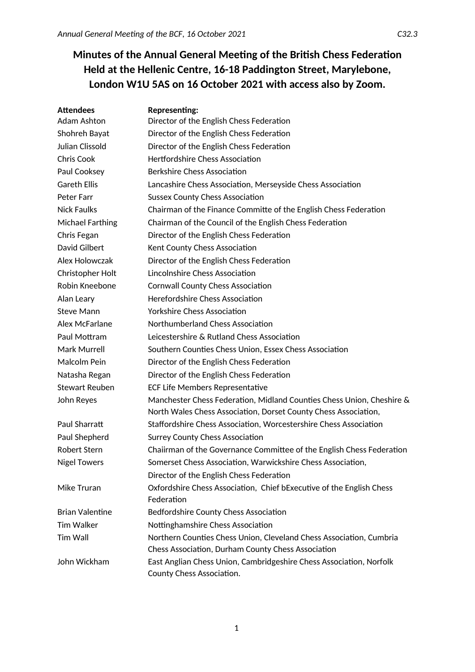# **Minutes of the Annual General Meeting of the British Chess Federation Held at the Hellenic Centre, 16-18 Paddington Street, Marylebone, London W1U 5AS on 16 October 2021 with access also by Zoom.**

| <b>Attendees</b>        | <b>Representing:</b>                                                                             |
|-------------------------|--------------------------------------------------------------------------------------------------|
| Adam Ashton             | Director of the English Chess Federation                                                         |
| Shohreh Bayat           | Director of the English Chess Federation                                                         |
| Julian Clissold         | Director of the English Chess Federation                                                         |
| <b>Chris Cook</b>       | <b>Hertfordshire Chess Association</b>                                                           |
| Paul Cooksey            | <b>Berkshire Chess Association</b>                                                               |
| <b>Gareth Ellis</b>     | Lancashire Chess Association, Merseyside Chess Association                                       |
| Peter Farr              | <b>Sussex County Chess Association</b>                                                           |
| Nick Faulks             | Chairman of the Finance Committe of the English Chess Federation                                 |
| <b>Michael Farthing</b> | Chairman of the Council of the English Chess Federation                                          |
| Chris Fegan             | Director of the English Chess Federation                                                         |
| David Gilbert           | Kent County Chess Association                                                                    |
| Alex Holowczak          | Director of the English Chess Federation                                                         |
| Christopher Holt        | Lincolnshire Chess Association                                                                   |
| Robin Kneebone          | <b>Cornwall County Chess Association</b>                                                         |
| Alan Leary              | Herefordshire Chess Association                                                                  |
| Steve Mann              | <b>Yorkshire Chess Association</b>                                                               |
| Alex McFarlane          | Northumberland Chess Association                                                                 |
| Paul Mottram            | Leicestershire & Rutland Chess Association                                                       |
| Mark Murrell            | Southern Counties Chess Union, Essex Chess Association                                           |
| Malcolm Pein            | Director of the English Chess Federation                                                         |
| Natasha Regan           | Director of the English Chess Federation                                                         |
| <b>Stewart Reuben</b>   | <b>ECF Life Members Representative</b>                                                           |
| John Reyes              | Manchester Chess Federation, Midland Counties Chess Union, Cheshire &                            |
|                         | North Wales Chess Association, Dorset County Chess Association,                                  |
| Paul Sharratt           | Staffordshire Chess Association, Worcestershire Chess Association                                |
| Paul Shepherd           | <b>Surrey County Chess Association</b>                                                           |
| <b>Robert Stern</b>     | Chaiirman of the Governance Committee of the English Chess Federation                            |
| <b>Nigel Towers</b>     | Somerset Chess Association, Warwickshire Chess Association,                                      |
|                         | Director of the English Chess Federation                                                         |
| Mike Truran             | Oxfordshire Chess Association, Chief bExecutive of the English Chess                             |
|                         | Federation                                                                                       |
| <b>Brian Valentine</b>  | Bedfordshire County Chess Association                                                            |
| <b>Tim Walker</b>       | Nottinghamshire Chess Association                                                                |
| Tim Wall                | Northern Counties Chess Union, Cleveland Chess Association, Cumbria                              |
|                         | Chess Association, Durham County Chess Association                                               |
| John Wickham            | East Anglian Chess Union, Cambridgeshire Chess Association, Norfolk<br>County Chess Association. |